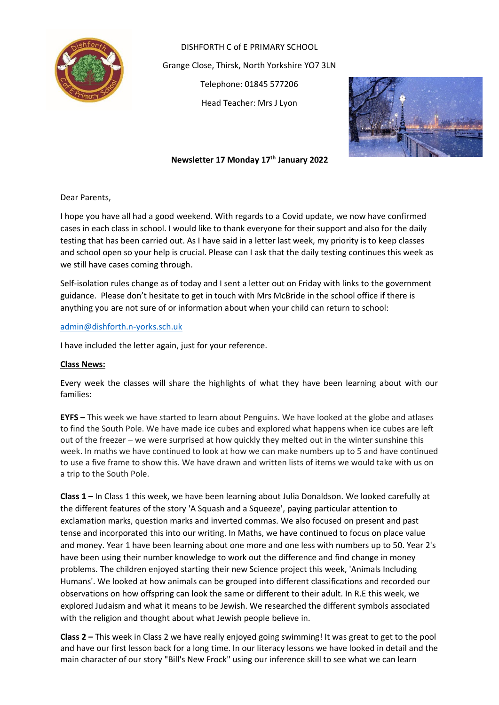

DISHFORTH C of E PRIMARY SCHOOL Grange Close, Thirsk, North Yorkshire YO7 3LN Telephone: 01845 577206 Head Teacher: Mrs J Lyon



## **Newsletter 17 Monday 17 th January 2022**

Dear Parents,

I hope you have all had a good weekend. With regards to a Covid update, we now have confirmed cases in each class in school. I would like to thank everyone for their support and also for the daily testing that has been carried out. As I have said in a letter last week, my priority is to keep classes and school open so your help is crucial. Please can I ask that the daily testing continues this week as we still have cases coming through.

Self-isolation rules change as of today and I sent a letter out on Friday with links to the government guidance. Please don't hesitate to get in touch with Mrs McBride in the school office if there is anything you are not sure of or information about when your child can return to school:

#### [admin@dishforth.n-yorks.sch.uk](mailto:admin@dishforth.n-yorks.sch.uk)

I have included the letter again, just for your reference.

#### **Class News:**

Every week the classes will share the highlights of what they have been learning about with our families:

**EYFS –** This week we have started to learn about Penguins. We have looked at the globe and atlases to find the South Pole. We have made ice cubes and explored what happens when ice cubes are left out of the freezer – we were surprised at how quickly they melted out in the winter sunshine this week. In maths we have continued to look at how we can make numbers up to 5 and have continued to use a five frame to show this. We have drawn and written lists of items we would take with us on a trip to the South Pole.

**Class 1 –** In Class 1 this week, we have been learning about Julia Donaldson. We looked carefully at the different features of the story 'A Squash and a Squeeze', paying particular attention to exclamation marks, question marks and inverted commas. We also focused on present and past tense and incorporated this into our writing. In Maths, we have continued to focus on place value and money. Year 1 have been learning about one more and one less with numbers up to 50. Year 2's have been using their number knowledge to work out the difference and find change in money problems. The children enjoyed starting their new Science project this week, 'Animals Including Humans'. We looked at how animals can be grouped into different classifications and recorded our observations on how offspring can look the same or different to their adult. In R.E this week, we explored Judaism and what it means to be Jewish. We researched the different symbols associated with the religion and thought about what Jewish people believe in.

**Class 2 –** This week in Class 2 we have really enjoyed going swimming! It was great to get to the pool and have our first lesson back for a long time. In our literacy lessons we have looked in detail and the main character of our story "Bill's New Frock" using our inference skill to see what we can learn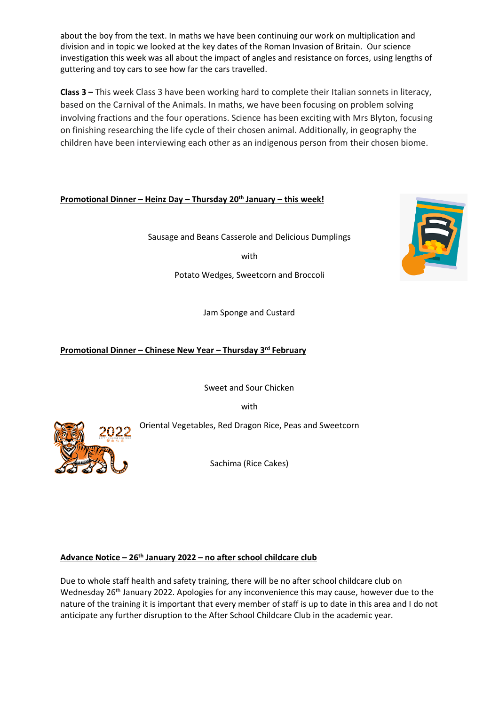about the boy from the text. In maths we have been continuing our work on multiplication and division and in topic we looked at the key dates of the Roman Invasion of Britain. Our science investigation this week was all about the impact of angles and resistance on forces, using lengths of guttering and toy cars to see how far the cars travelled.

**Class 3 –** This week Class 3 have been working hard to complete their Italian sonnets in literacy, based on the Carnival of the Animals. In maths, we have been focusing on problem solving involving fractions and the four operations. Science has been exciting with Mrs Blyton, focusing on finishing researching the life cycle of their chosen animal. Additionally, in geography the children have been interviewing each other as an indigenous person from their chosen biome.

## **Promotional Dinner – Heinz Day – Thursday 20th January – this week!**

Sausage and Beans Casserole and Delicious Dumplings

with

Potato Wedges, Sweetcorn and Broccoli

Jam Sponge and Custard

## **Promotional Dinner – Chinese New Year – Thursday 3rd February**

Sweet and Sour Chicken

with

Oriental Vegetables, Red Dragon Rice, Peas and Sweetcorn

Sachima (Rice Cakes)

## **Advance Notice – 26th January 2022 – no after school childcare club**

Due to whole staff health and safety training, there will be no after school childcare club on Wednesday 26<sup>th</sup> January 2022. Apologies for any inconvenience this may cause, however due to the nature of the training it is important that every member of staff is up to date in this area and I do not anticipate any further disruption to the After School Childcare Club in the academic year.



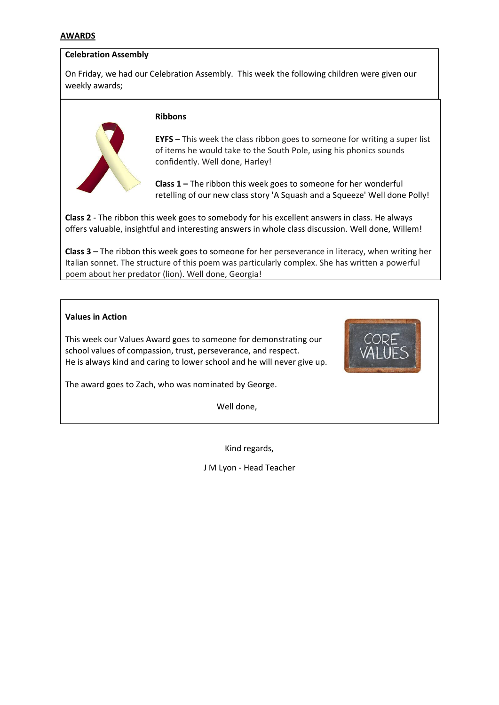#### **AWARDS**

#### **Celebration Assembly**

On Friday, we had our Celebration Assembly. This week the following children were given our weekly awards;



### **Ribbons**

**EYFS** – This week the class ribbon goes to someone for writing a super list of items he would take to the South Pole, using his phonics sounds confidently. Well done, Harley!

**Class 1 –** The ribbon this week goes to someone for her wonderful retelling of our new class story 'A Squash and a Squeeze' Well done Polly!

**Class 2** - The ribbon this week goes to somebody for his excellent answers in class. He always offers valuable, insightful and interesting answers in whole class discussion. Well done, Willem!

**Class 3** – The ribbon this week goes to someone for her perseverance in literacy, when writing her Italian sonnet. The structure of this poem was particularly complex. She has written a powerful poem about her predator (lion). Well done, Georgia!

#### **Values in Action**

This week our Values Award goes to someone for demonstrating our school values of compassion, trust, perseverance, and respect. He is always kind and caring to lower school and he will never give up.



The award goes to Zach, who was nominated by George.

Well done,

Kind regards,

J M Lyon - Head Teacher